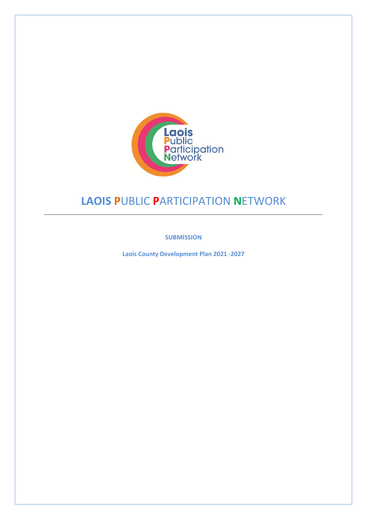

# **LAOIS P**UBLIC **P**ARTICIPATION **N**ETWORK

**SUBMISSION**

**Laois County Development Plan 2021 -2027**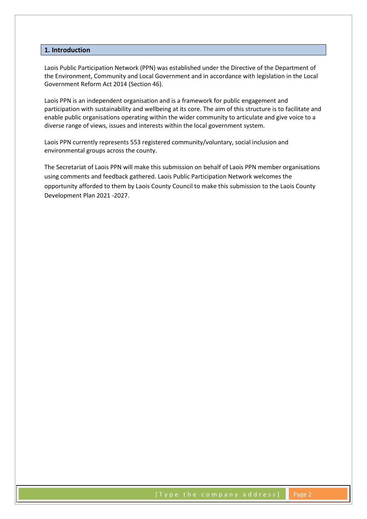## **1. Introduction**

Laois Public Participation Network (PPN) was established under the Directive of the Department of the Environment, Community and Local Government and in accordance with legislation in the Local Government Reform Act 2014 (Section 46).

Laois PPN is an independent organisation and is a framework for public engagement and participation with sustainability and wellbeing at its core. The aim of this structure is to facilitate and enable public organisations operating within the wider community to articulate and give voice to a diverse range of views, issues and interests within the local government system.

Laois PPN currently represents 553 registered community/voluntary, social inclusion and environmental groups across the county.

The Secretariat of Laois PPN will make this submission on behalf of Laois PPN member organisations using comments and feedback gathered. Laois Public Participation Network welcomes the opportunity afforded to them by Laois County Council to make this submission to the Laois County Development Plan 2021 -2027.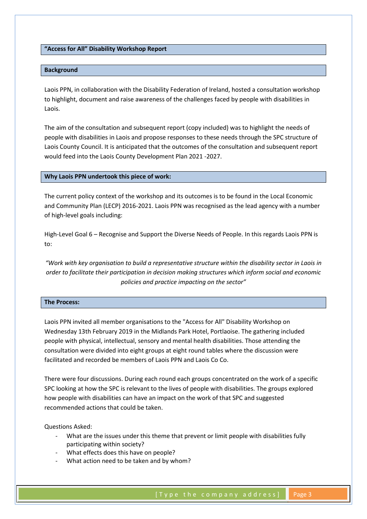**"Access for All" Disability Workshop Report**

## **Background**

Laois PPN, in collaboration with the Disability Federation of Ireland, hosted a consultation workshop to highlight, document and raise awareness of the challenges faced by people with disabilities in Laois.

The aim of the consultation and subsequent report (copy included) was to highlight the needs of people with disabilities in Laois and propose responses to these needs through the SPC structure of Laois County Council. It is anticipated that the outcomes of the consultation and subsequent report would feed into the Laois County Development Plan 2021 -2027.

#### **Why Laois PPN undertook this piece of work:**

The current policy context of the workshop and its outcomes is to be found in the Local Economic and Community Plan (LECP) 2016-2021. Laois PPN was recognised as the lead agency with a number of high-level goals including:

High-Level Goal 6 – Recognise and Support the Diverse Needs of People. In this regards Laois PPN is to:

*"Work with key organisation to build a representative structure within the disability sector in Laois in order to facilitate their participation in decision making structures which inform social and economic policies and practice impacting on the sector"*

# **The Process:**

Laois PPN invited all member organisations to the "Access for All" Disability Workshop on Wednesday 13th February 2019 in the Midlands Park Hotel, Portlaoise. The gathering included people with physical, intellectual, sensory and mental health disabilities. Those attending the consultation were divided into eight groups at eight round tables where the discussion were facilitated and recorded be members of Laois PPN and Laois Co Co.

There were four discussions. During each round each groups concentrated on the work of a specific SPC looking at how the SPC is relevant to the lives of people with disabilities. The groups explored how people with disabilities can have an impact on the work of that SPC and suggested recommended actions that could be taken.

Questions Asked:

- What are the issues under this theme that prevent or limit people with disabilities fully participating within society?
- What effects does this have on people?
- What action need to be taken and by whom?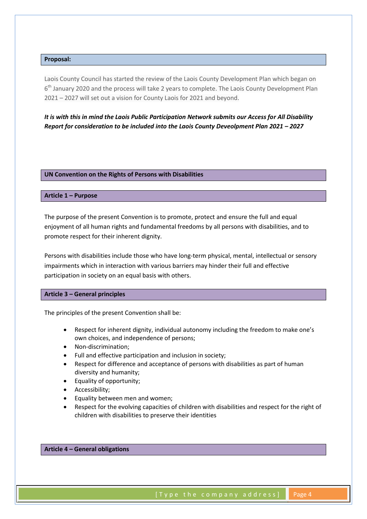# **Proposal:**

Laois County Council has started the review of the Laois County Development Plan which began on 6<sup>th</sup> January 2020 and the process will take 2 years to complete. The Laois County Development Plan 2021 – 2027 will set out a vision for County Laois for 2021 and beyond.

*It is with this in mind the Laois Public Participation Network submits our Access for All Disability Report for consideration to be included into the Laois County Deveolpment Plan 2021 – 2027* 

#### **UN Convention on the Rights of Persons with Disabilities**

## **Article 1 – Purpose**

The purpose of the present Convention is to promote, protect and ensure the full and equal enjoyment of all human rights and fundamental freedoms by all persons with disabilities, and to promote respect for their inherent dignity.

Persons with disabilities include those who have long-term physical, mental, intellectual or sensory impairments which in interaction with various barriers may hinder their full and effective participation in society on an equal basis with others.

## **Article 3 – General principles**

The principles of the present Convention shall be:

- Respect for inherent dignity, individual autonomy including the freedom to make one's own choices, and independence of persons;
- Non-discrimination;
- Full and effective participation and inclusion in society;
- Respect for difference and acceptance of persons with disabilities as part of human diversity and humanity;
- Equality of opportunity;
- Accessibility;
- Equality between men and women;
- Respect for the evolving capacities of children with disabilities and respect for the right of children with disabilities to preserve their identities

### **Article 4 – General obligations**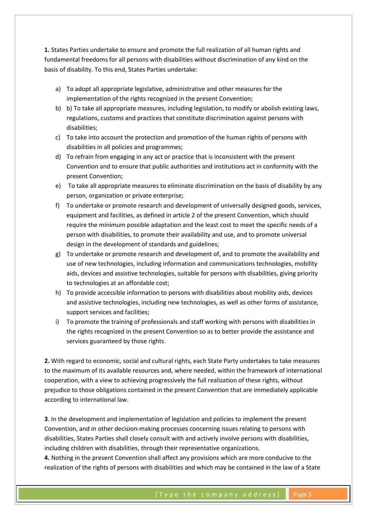**1.** States Parties undertake to ensure and promote the full realization of all human rights and fundamental freedoms for all persons with disabilities without discrimination of any kind on the basis of disability. To this end, States Parties undertake:

- a) To adopt all appropriate legislative, administrative and other measures for the implementation of the rights recognized in the present Convention;
- b) b) To take all appropriate measures, including legislation, to modify or abolish existing laws, regulations, customs and practices that constitute discrimination against persons with disabilities;
- c) To take into account the protection and promotion of the human rights of persons with disabilities in all policies and programmes;
- d) To refrain from engaging in any act or practice that is inconsistent with the present Convention and to ensure that public authorities and institutions act in conformity with the present Convention;
- e) To take all appropriate measures to eliminate discrimination on the basis of disability by any person, organization or private enterprise;
- f) To undertake or promote research and development of universally designed goods, services, equipment and facilities, as defined in article 2 of the present Convention, which should require the minimum possible adaptation and the least cost to meet the specific needs of a person with disabilities, to promote their availability and use, and to promote universal design in the development of standards and guidelines;
- g) To undertake or promote research and development of, and to promote the availability and use of new technologies, including information and communications technologies, mobility aids, devices and assistive technologies, suitable for persons with disabilities, giving priority to technologies at an affordable cost;
- h) To provide accessible information to persons with disabilities about mobility aids, devices and assistive technologies, including new technologies, as well as other forms of assistance, support services and facilities;
- i) To promote the training of professionals and staff working with persons with disabilities in the rights recognized in the present Convention so as to better provide the assistance and services guaranteed by those rights.

**2.** With regard to economic, social and cultural rights, each State Party undertakes to take measures to the maximum of its available resources and, where needed, within the framework of international cooperation, with a view to achieving progressively the full realization of these rights, without prejudice to those obligations contained in the present Convention that are immediately applicable according to international law.

**3**. In the development and implementation of legislation and policies to implement the present Convention, and in other decision-making processes concerning issues relating to persons with disabilities, States Parties shall closely consult with and actively involve persons with disabilities, including children with disabilities, through their representative organizations.

**4.** Nothing in the present Convention shall affect any provisions which are more conducive to the realization of the rights of persons with disabilities and which may be contained in the law of a State